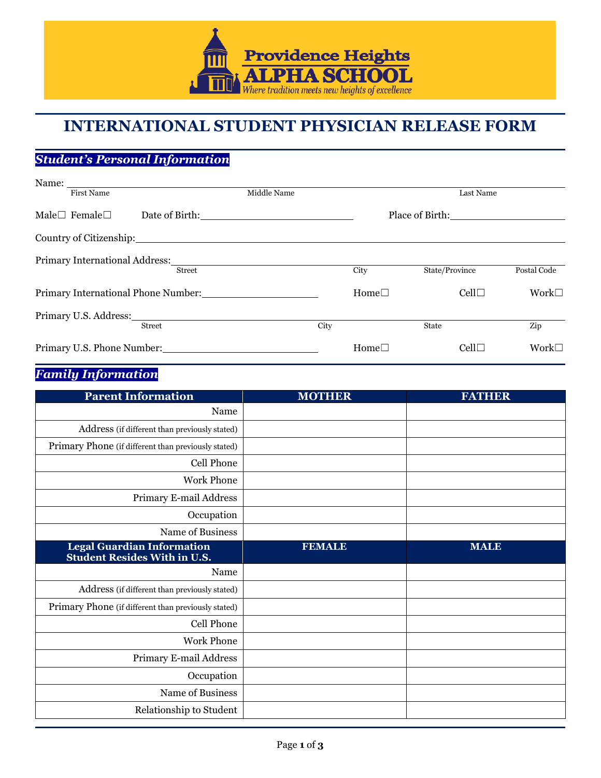

# **INTERNATIONAL STUDENT PHYSICIAN RELEASE FORM**

## *Student's Personal Information*

| Name:                                                                                                                                                                                                                                           |             |             |                 |                |
|-------------------------------------------------------------------------------------------------------------------------------------------------------------------------------------------------------------------------------------------------|-------------|-------------|-----------------|----------------|
| <b>First Name</b>                                                                                                                                                                                                                               | Middle Name |             | Last Name       |                |
| Male $\Box$ Female $\Box$                                                                                                                                                                                                                       |             |             | Place of Birth: |                |
| Country of Citizenship: 2000 Country of Citizenship:                                                                                                                                                                                            |             |             |                 |                |
| Primary International Address: 2008. [19] The Material Address: 2008. [19] Primary International Address:<br><b>Street</b>                                                                                                                      |             | City        | State/Province  | Postal Code    |
| Primary International Phone Number:                                                                                                                                                                                                             |             | $Home \Box$ | $Cell \Box$     | Work $\square$ |
| Primary U.S. Address: 2000 March 2010 March 2010 March 2010 March 2010 March 2010 March 2010 March 2010 March 2010 March 2010 March 2010 March 2010 March 2010 March 2010 March 2010 March 2010 March 2010 March 2010 March 20<br><b>Street</b> | City        |             | <b>State</b>    | Zip            |
| Primary U.S. Phone Number:                                                                                                                                                                                                                      |             | $Home \Box$ | Cell            | Work $\square$ |

#### *Family Information*

| <b>Parent Information</b>                                                | <b>MOTHER</b> | <b>FATHER</b> |
|--------------------------------------------------------------------------|---------------|---------------|
| Name                                                                     |               |               |
| Address (if different than previously stated)                            |               |               |
| Primary Phone (if different than previously stated)                      |               |               |
| Cell Phone                                                               |               |               |
| <b>Work Phone</b>                                                        |               |               |
| Primary E-mail Address                                                   |               |               |
| Occupation                                                               |               |               |
| Name of Business                                                         |               |               |
| <b>Legal Guardian Information</b><br><b>Student Resides With in U.S.</b> | <b>FEMALE</b> | <b>MALE</b>   |
| Name                                                                     |               |               |
| Address (if different than previously stated)                            |               |               |
| Primary Phone (if different than previously stated)                      |               |               |
| Cell Phone                                                               |               |               |
| <b>Work Phone</b>                                                        |               |               |
| Primary E-mail Address                                                   |               |               |
| Occupation                                                               |               |               |
| Name of Business                                                         |               |               |
| Relationship to Student                                                  |               |               |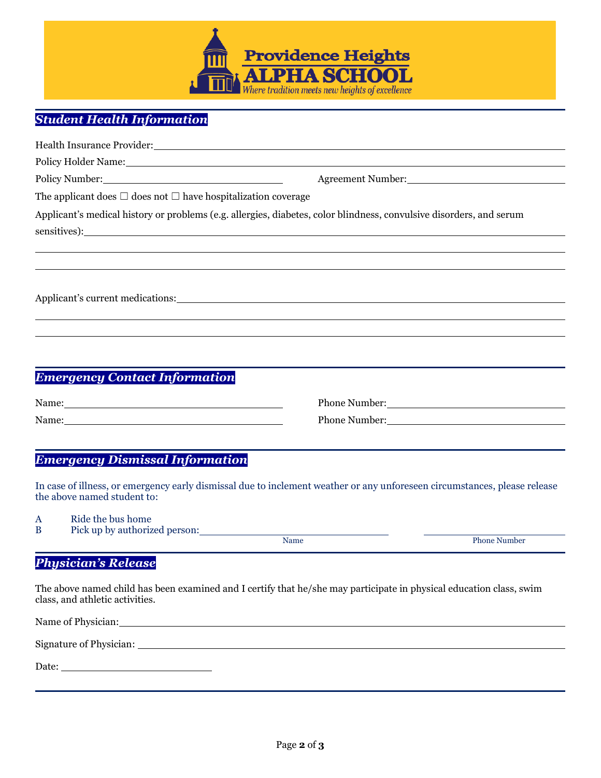

### *Student Health Information*

|                                                                                                                                                                                                                                                                                                                                                       | Health Insurance Provider: New York 1988 and 2008 and 2008 and 2008 and 2008 and 2008 and 2008 and 2008 and 20                                                                                                                 |  |  |  |
|-------------------------------------------------------------------------------------------------------------------------------------------------------------------------------------------------------------------------------------------------------------------------------------------------------------------------------------------------------|--------------------------------------------------------------------------------------------------------------------------------------------------------------------------------------------------------------------------------|--|--|--|
|                                                                                                                                                                                                                                                                                                                                                       |                                                                                                                                                                                                                                |  |  |  |
| Policy Number: 2000 and 2000 and 2000 and 2000 and 2000 and 2000 and 2000 and 2000 and 2000 and 200                                                                                                                                                                                                                                                   | Agreement Number:                                                                                                                                                                                                              |  |  |  |
| The applicant does $\Box$ does not $\Box$ have hospitalization coverage                                                                                                                                                                                                                                                                               |                                                                                                                                                                                                                                |  |  |  |
| Applicant's medical history or problems (e.g. allergies, diabetes, color blindness, convulsive disorders, and serum<br>sensitives): the contract of the contract of the contract of the contract of the contract of the contract of the contract of the contract of the contract of the contract of the contract of the contract of the contract of t |                                                                                                                                                                                                                                |  |  |  |
|                                                                                                                                                                                                                                                                                                                                                       | Applicant's current medications: Notice of the set of the set of the set of the set of the set of the set of the set of the set of the set of the set of the set of the set of the set of the set of the set of the set of the |  |  |  |
|                                                                                                                                                                                                                                                                                                                                                       |                                                                                                                                                                                                                                |  |  |  |
|                                                                                                                                                                                                                                                                                                                                                       | ,我们也不会有什么?""我们的人,我们也不会有什么?""我们的人,我们也不会有什么?""我们的人,我们也不会有什么?""我们的人,我们也不会有什么?""我们的人                                                                                                                                               |  |  |  |
|                                                                                                                                                                                                                                                                                                                                                       |                                                                                                                                                                                                                                |  |  |  |
| <b>Emergency Contact Information</b>                                                                                                                                                                                                                                                                                                                  |                                                                                                                                                                                                                                |  |  |  |
| Name:                                                                                                                                                                                                                                                                                                                                                 | Phone Number: 2008                                                                                                                                                                                                             |  |  |  |
| Name: Name and the set of the set of the set of the set of the set of the set of the set of the set of the set of the set of the set of the set of the set of the set of the set of the set of the set of the set of the set o                                                                                                                        | Phone Number: National Science of the Muslim Contract of the Muslim Contract of the Muslim Contract of the Muslim Contract of the Muslim Contract of the Muslim Contract of the Muslim Contract of the Muslim Contract of the  |  |  |  |
| <b>Emergency Dismissal Information</b>                                                                                                                                                                                                                                                                                                                |                                                                                                                                                                                                                                |  |  |  |
|                                                                                                                                                                                                                                                                                                                                                       | In case of illness, or emergency early dismissal due to inclement weather or any unforeseen circumstances, please release                                                                                                      |  |  |  |

the above named student to:

A Ride the bus home<br>B Pick up by authoriz Pick up by authorized person:

Name Phone Number

#### *Physician's Release*

The above named child has been examined and I certify that he/she may participate in physical education class, swim class, and athletic activities.

| Name of Physician:      |  |  |
|-------------------------|--|--|
|                         |  |  |
| Signature of Physician: |  |  |
|                         |  |  |
| Date:                   |  |  |
|                         |  |  |